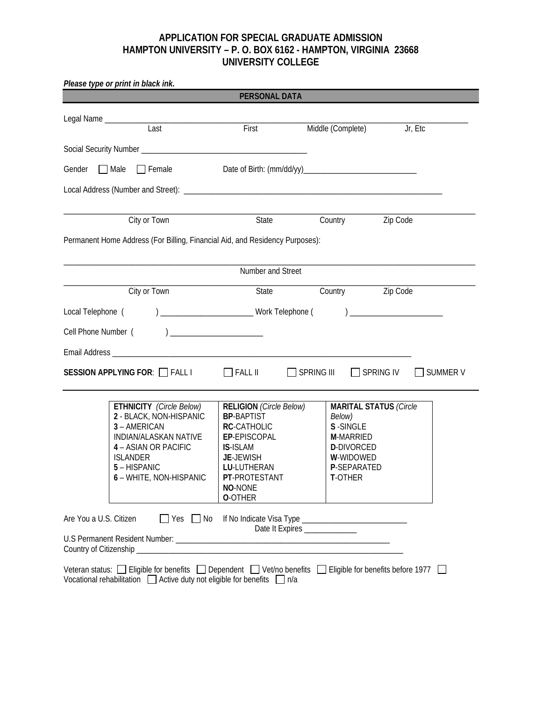## **APPLICATION FOR SPECIAL GRADUATE ADMISSION HAMPTON UNIVERSITY – P. O. BOX 6162 - HAMPTON, VIRGINIA 23668 UNIVERSITY COLLEGE**

| Please type or print in black ink.                                                                                                                                                               | PERSONAL DATA                                                                                                                                                                          |                                                                                                           |                               |
|--------------------------------------------------------------------------------------------------------------------------------------------------------------------------------------------------|----------------------------------------------------------------------------------------------------------------------------------------------------------------------------------------|-----------------------------------------------------------------------------------------------------------|-------------------------------|
|                                                                                                                                                                                                  |                                                                                                                                                                                        |                                                                                                           |                               |
| Last                                                                                                                                                                                             | <b>First</b>                                                                                                                                                                           | Middle (Complete) Jr, Etc                                                                                 |                               |
|                                                                                                                                                                                                  |                                                                                                                                                                                        |                                                                                                           |                               |
|                                                                                                                                                                                                  |                                                                                                                                                                                        |                                                                                                           |                               |
| Gender Male Female Date of Birth: (mm/dd/yy)                                                                                                                                                     |                                                                                                                                                                                        |                                                                                                           |                               |
|                                                                                                                                                                                                  |                                                                                                                                                                                        |                                                                                                           |                               |
| City or Town                                                                                                                                                                                     |                                                                                                                                                                                        | Country Zip Code<br>State                                                                                 |                               |
| Permanent Home Address (For Billing, Financial Aid, and Residency Purposes):                                                                                                                     |                                                                                                                                                                                        |                                                                                                           |                               |
|                                                                                                                                                                                                  |                                                                                                                                                                                        |                                                                                                           |                               |
|                                                                                                                                                                                                  | Number and Street                                                                                                                                                                      |                                                                                                           |                               |
| City or Town                                                                                                                                                                                     |                                                                                                                                                                                        | Country Zip Code<br>State                                                                                 |                               |
|                                                                                                                                                                                                  |                                                                                                                                                                                        |                                                                                                           |                               |
|                                                                                                                                                                                                  |                                                                                                                                                                                        |                                                                                                           |                               |
|                                                                                                                                                                                                  |                                                                                                                                                                                        |                                                                                                           |                               |
|                                                                                                                                                                                                  |                                                                                                                                                                                        |                                                                                                           |                               |
| $SESSION$ APPLYING FOR: $\Box$ FALL I $\Box$ FALL II                                                                                                                                             |                                                                                                                                                                                        | SPRING III □ SPRING IV                                                                                    | □ SUMMER V                    |
| <b>ETHNICITY</b> (Circle Below)<br>2 - BLACK, NON-HISPANIC<br>3 - AMERICAN<br>INDIAN/ALASKAN NATIVE<br>4 - ASIAN OR PACIFIC<br><b>ISLANDER</b><br>5 - HISPANIC<br>6 - WHITE, NON-HISPANIC        | <b>RELIGION</b> (Circle Below)<br><b>BP-BAPTIST</b><br>RC-CATHOLIC<br>EP-EPISCOPAL<br><b>IS-ISLAM</b><br><b>JE-JEWISH</b><br>LU-LUTHERAN<br>PT-PROTESTANT<br>NO-NONE<br><b>O-OTHER</b> | Below)<br>S-SINGLE<br><b>M-MARRIED</b><br><b>D-DIVORCED</b><br>W-WIDOWED<br><b>P-SEPARATED</b><br>T-OTHER | <b>MARITAL STATUS (Circle</b> |
| Are You a U.S. Citizen                                                                                                                                                                           | $\Box$ Yes $\Box$ No                                                                                                                                                                   | Date It Expires ______________                                                                            |                               |
|                                                                                                                                                                                                  |                                                                                                                                                                                        |                                                                                                           |                               |
| Veteran status: □ Eligible for benefits □ Dependent □ Vet/no benefits □ Eligible for benefits before 1977 □<br>Vocational rehabilitation $\Box$ Active duty not eligible for benefits $\Box$ n/a |                                                                                                                                                                                        |                                                                                                           |                               |